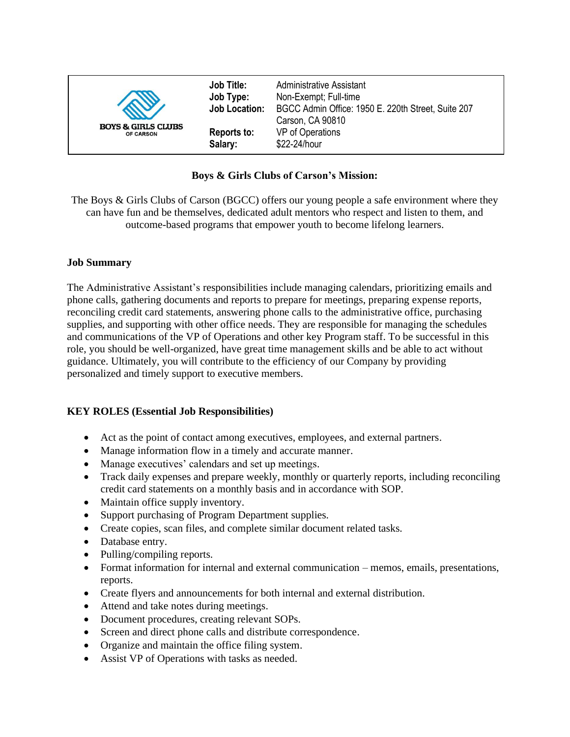| <b>Job Title:</b><br>Job Type:<br><b>Job Location:</b><br><b>BOYS &amp; GIRLS CLUBS</b><br>Reports to:<br><b>OF CARSON</b><br>Salary: | Administrative Assistant<br>Non-Exempt; Full-time<br>BGCC Admin Office: 1950 E. 220th Street, Suite 207<br>Carson, CA 90810<br>VP of Operations<br>\$22-24/hour |
|---------------------------------------------------------------------------------------------------------------------------------------|-----------------------------------------------------------------------------------------------------------------------------------------------------------------|
|---------------------------------------------------------------------------------------------------------------------------------------|-----------------------------------------------------------------------------------------------------------------------------------------------------------------|

### **Boys & Girls Clubs of Carson's Mission:**

The Boys & Girls Clubs of Carson (BGCC) offers our young people a safe environment where they can have fun and be themselves, dedicated adult mentors who respect and listen to them, and outcome-based programs that empower youth to become lifelong learners.

#### **Job Summary**

The Administrative Assistant's responsibilities include managing calendars, prioritizing emails and phone calls, gathering documents and reports to prepare for meetings, preparing expense reports, reconciling credit card statements, answering phone calls to the administrative office, purchasing supplies, and supporting with other office needs. They are responsible for managing the schedules and communications of the VP of Operations and other key Program staff. To be successful in this role, you should be well-organized, have great time management skills and be able to act without guidance. Ultimately, you will contribute to the efficiency of our Company by providing personalized and timely support to executive members.

#### **KEY ROLES (Essential Job Responsibilities)**

- Act as the point of contact among executives, employees, and external partners.
- Manage information flow in a timely and accurate manner.
- Manage executives' calendars and set up meetings.
- Track daily expenses and prepare weekly, monthly or quarterly reports, including reconciling credit card statements on a monthly basis and in accordance with SOP.
- Maintain office supply inventory.
- Support purchasing of Program Department supplies.
- Create copies, scan files, and complete similar document related tasks.
- Database entry.
- Pulling/compiling reports.
- Format information for internal and external communication memos, emails, presentations, reports.
- Create flyers and announcements for both internal and external distribution.
- Attend and take notes during meetings.
- Document procedures, creating relevant SOPs.
- Screen and direct phone calls and distribute correspondence.
- Organize and maintain the office filing system.
- Assist VP of Operations with tasks as needed.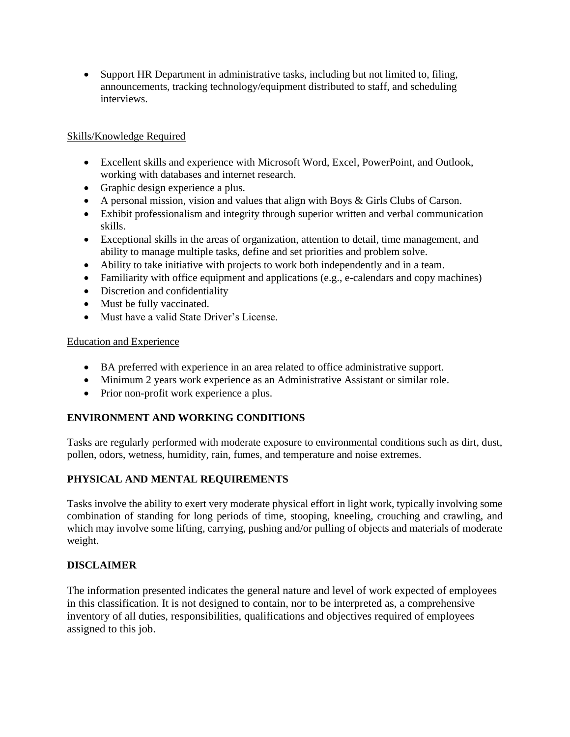• Support HR Department in administrative tasks, including but not limited to, filing, announcements, tracking technology/equipment distributed to staff, and scheduling interviews.

### Skills/Knowledge Required

- Excellent skills and experience with Microsoft Word, Excel, PowerPoint, and Outlook, working with databases and internet research.
- Graphic design experience a plus.
- A personal mission, vision and values that align with Boys & Girls Clubs of Carson.
- Exhibit professionalism and integrity through superior written and verbal communication skills.
- Exceptional skills in the areas of organization, attention to detail, time management, and ability to manage multiple tasks, define and set priorities and problem solve.
- Ability to take initiative with projects to work both independently and in a team.
- Familiarity with office equipment and applications (e.g., e-calendars and copy machines)
- Discretion and confidentiality
- Must be fully vaccinated.
- Must have a valid State Driver's License.

# Education and Experience

- BA preferred with experience in an area related to office administrative support.
- Minimum 2 years work experience as an Administrative Assistant or similar role.
- Prior non-profit work experience a plus.

# **ENVIRONMENT AND WORKING CONDITIONS**

Tasks are regularly performed with moderate exposure to environmental conditions such as dirt, dust, pollen, odors, wetness, humidity, rain, fumes, and temperature and noise extremes.

# **PHYSICAL AND MENTAL REQUIREMENTS**

Tasks involve the ability to exert very moderate physical effort in light work, typically involving some combination of standing for long periods of time, stooping, kneeling, crouching and crawling, and which may involve some lifting, carrying, pushing and/or pulling of objects and materials of moderate weight.

# **DISCLAIMER**

The information presented indicates the general nature and level of work expected of employees in this classification. It is not designed to contain, nor to be interpreted as, a comprehensive inventory of all duties, responsibilities, qualifications and objectives required of employees assigned to this job.